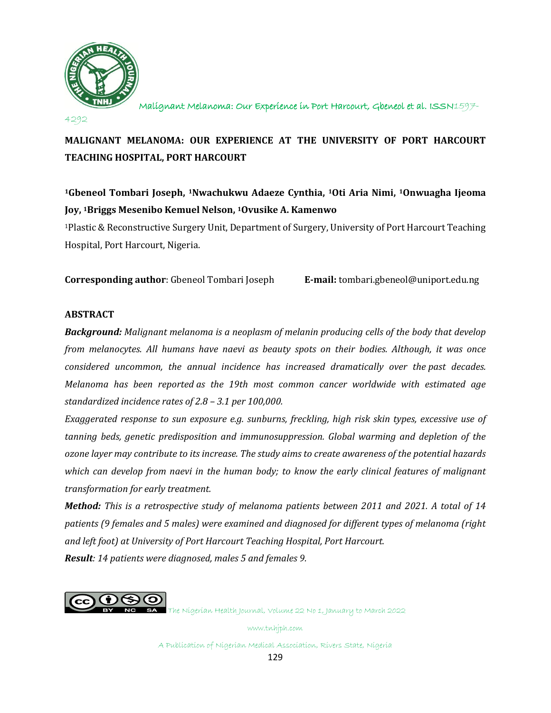

4292

# **MALIGNANT MELANOMA: OUR EXPERIENCE AT THE UNIVERSITY OF PORT HARCOURT TEACHING HOSPITAL, PORT HARCOURT**

**<sup>1</sup>Gbeneol Tombari Joseph, <sup>1</sup>Nwachukwu Adaeze Cynthia, <sup>1</sup>Oti Aria Nimi, <sup>1</sup>Onwuagha Ijeoma Joy, <sup>1</sup>Briggs Mesenibo Kemuel Nelson, <sup>1</sup>Ovusike A. Kamenwo**

<sup>1</sup>Plastic & Reconstructive Surgery Unit, Department of Surgery, University of Port Harcourt Teaching Hospital, Port Harcourt, Nigeria.

**Corresponding author**: Gbeneol Tombari Joseph **E-mail:** tombar[i.gbeneol@uniport.edu.ng](mailto:gbeneol@uniport.edu.ng)

# **ABSTRACT**

**Background:** Malignant melanoma is a neoplasm of melanin producing cells of the body that develop *from melanocytes. All humans have naevi as beauty spots on their bodies. Although, it was once considered uncommon, the annual incidence has increased dramatically over the past decades. Melanoma has been reported as the 19th most common cancer worldwide with estimated age standardized incidence rates of 2.8 – 3.1 per 100,000.*

*Exaggerated response to sun exposure e.g. sunburns, freckling, high risk skin types, excessive use of tanning beds, genetic predisposition and immunosuppression. Global warming and depletion of the ozone layer may contribute to its increase. The study aims to create awareness of the potential hazards which can develop from naevi in the human body; to know the early clinical features of malignant transformation for early treatment.*

*Method: This is a retrospective study of melanoma patients between 2011 and 2021. A total of 14 patients (9 females and 5 males) were examined and diagnosed for different types of melanoma (right and left foot) at University of Port Harcourt Teaching Hospital, Port Harcourt. Result: 14 patients were diagnosed, males 5 and females 9.* 



The Nigerian Health Journal, Volume 22 No 1, January to March 2022

www.tnhjph.com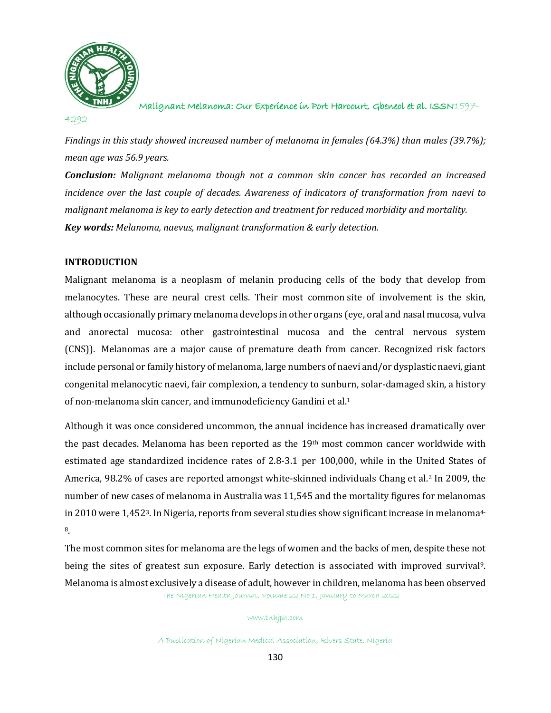

4292

*Findings in this study showed increased number of melanoma in females (64.3%) than males (39.7%); mean age was 56.9 years.*

*Conclusion: Malignant melanoma though not a common skin cancer has recorded an increased incidence over the last couple of decades. Awareness of indicators of transformation from naevi to malignant melanoma is key to early detection and treatment for reduced morbidity and mortality. Key words: Melanoma, naevus, malignant transformation & early detection.*

### **INTRODUCTION**

Malignant melanoma is a neoplasm of melanin producing cells of the body that develop from melanocytes. These are neural crest cells. Their most common site of involvement is the skin, although occasionally primary melanoma develops in other organs (eye, oral and nasal mucosa, vulva and anorectal mucosa: other gastrointestinal mucosa and the central nervous system (CNS)). Melanomas are a major cause of premature death from cancer. Recognized risk factors include personal or family history of melanoma, large numbers of naevi and/or dysplastic naevi, giant congenital melanocytic naevi, fair complexion, a tendency to sunburn, solar-damaged skin, a history of non-melanoma skin cancer, and immunodeficiency Gandini et al.<sup>1</sup>

Although it was once considered uncommon, the annual incidence has increased dramatically over the past decades. Melanoma has been reported as the 19th most common cancer worldwide with estimated age standardized incidence rates of 2.8-3.1 per 100,000, while in the United States of America, 98.2% of cases are reported amongst white-skinned individuals Chang et al.<sup>2</sup> In 2009, the number of new cases of melanoma in Australia was 11,545 and the mortality figures for melanomas in 2010 were 1,452<sup>3</sup>. In Nigeria, reports from several studies show significant increase in melanoma<sup>4-</sup> 8.

The Nigerian Health Journal, Volume 22 No 1, January to March 2022 The most common sites for melanoma are the legs of women and the backs of men, despite these not being the sites of greatest sun exposure. Early detection is associated with improved survival9. Melanoma is almost exclusively a disease of adult, however in children, melanoma has been observed

#### www.tnhjph.com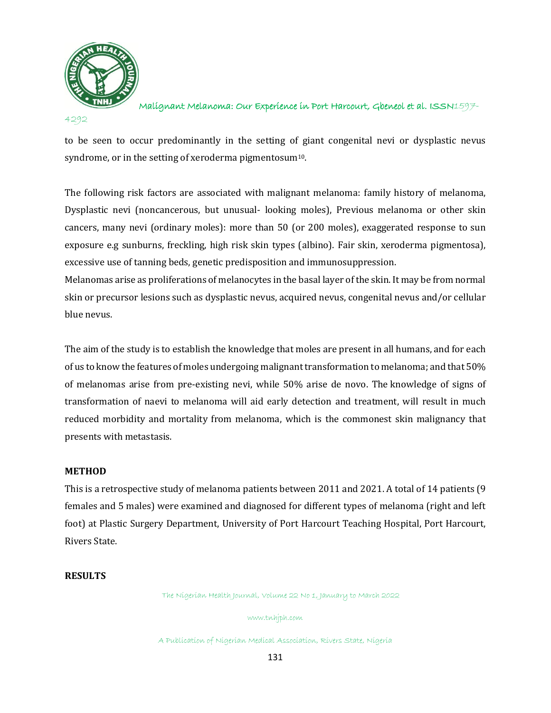

Malignant Melanoma: Our Experience in Port Harcourt, Gbeneol et al. ISSN1597-

to be seen to occur predominantly in the setting of giant congenital nevi or dysplastic nevus syndrome, or in the setting of xeroderma pigmentosum<sup>10</sup>.

The following risk factors are associated with malignant melanoma: family history of melanoma, Dysplastic nevi (noncancerous, but unusual- looking moles), Previous melanoma or other skin cancers, many nevi (ordinary moles): more than 50 (or 200 moles), exaggerated response to sun exposure e.g sunburns, freckling, high risk skin types (albino). Fair skin, xeroderma pigmentosa), excessive use of tanning beds, genetic predisposition and immunosuppression.

Melanomas arise as proliferations of melanocytes in the basal layer of the skin. It may be from normal skin or precursor lesions such as dysplastic nevus, acquired nevus, congenital nevus and/or cellular blue nevus.

The aim of the study is to establish the knowledge that moles are present in all humans, and for each of us to know the features of moles undergoing malignant transformation to melanoma; and that 50% of melanomas arise from pre-existing nevi, while 50% arise de novo. The knowledge of signs of transformation of naevi to melanoma will aid early detection and treatment, will result in much reduced morbidity and mortality from melanoma, which is the commonest skin malignancy that presents with metastasis.

# **METHOD**

This is a retrospective study of melanoma patients between 2011 and 2021. A total of 14 patients (9 females and 5 males) were examined and diagnosed for different types of melanoma (right and left foot) at Plastic Surgery Department, University of Port Harcourt Teaching Hospital, Port Harcourt, Rivers State.

### **RESULTS**

The Nigerian Health Journal, Volume 22 No 1, January to March 2022

www.tnhjph.com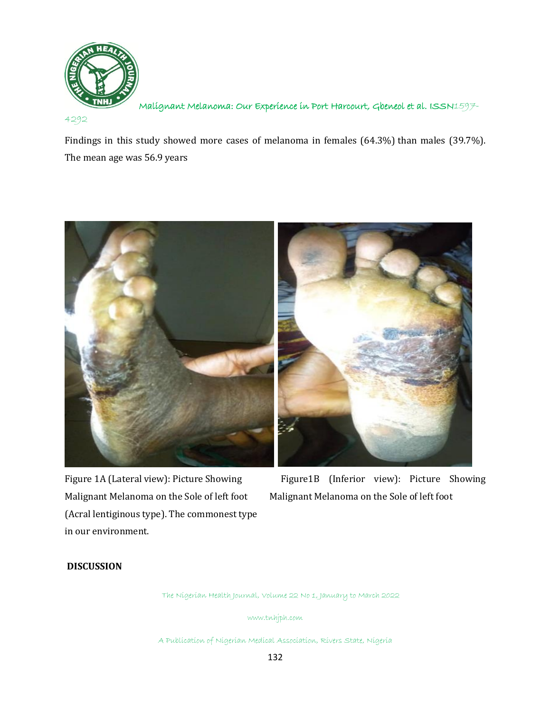

4292

Findings in this study showed more cases of melanoma in females (64.3%) than males (39.7%). The mean age was 56.9 years



Malignant Melanoma on the Sole of left foot Malignant Melanoma on the Sole of left foot (Acral lentiginous type). The commonest type in our environment.

Figure 1A (Lateral view): Picture Showing Figure1B (Inferior view): Picture Showing

# **DISCUSSION**

The Nigerian Health Journal, Volume 22 No 1, January to March 2022

www.tnhjph.com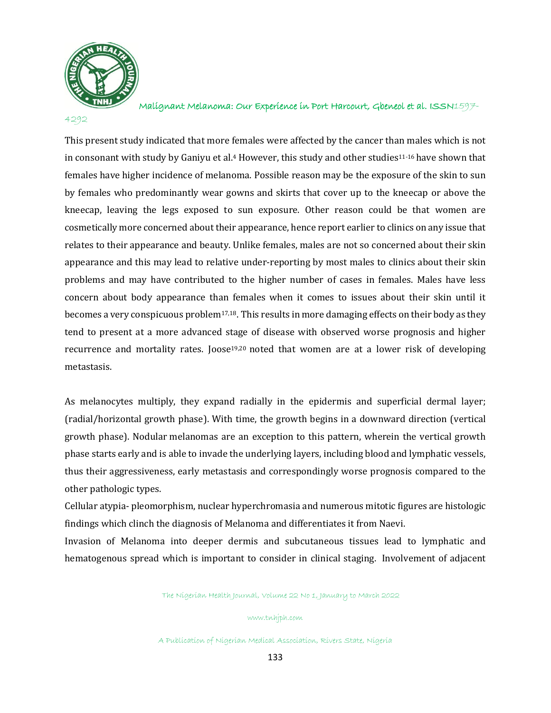

Malignant Melanoma: Our Experience in Port Harcourt, Gbeneol et al. ISSN1597-

This present study indicated that more females were affected by the cancer than males which is not in consonant with study by Ganiyu et al.<sup>4</sup> However, this study and other studies<sup>11-16</sup> have shown that females have higher incidence of melanoma. Possible reason may be the exposure of the skin to sun by females who predominantly wear gowns and skirts that cover up to the kneecap or above the kneecap, leaving the legs exposed to sun exposure. Other reason could be that women are cosmetically more concerned about their appearance, hence report earlier to clinics on any issue that relates to their appearance and beauty. Unlike females, males are not so concerned about their skin appearance and this may lead to relative under-reporting by most males to clinics about their skin problems and may have contributed to the higher number of cases in females. Males have less concern about body appearance than females when it comes to issues about their skin until it becomes a very conspicuous problem17,18. This results in more damaging effects on their body as they tend to present at a more advanced stage of disease with observed worse prognosis and higher recurrence and mortality rates. Joose19,20 noted that women are at a lower risk of developing metastasis.

As melanocytes multiply, they expand radially in the epidermis and superficial dermal layer; (radial/horizontal growth phase). With time, the growth begins in a downward direction (vertical growth phase). Nodular melanomas are an exception to this pattern, wherein the vertical growth phase starts early and is able to invade the underlying layers, including blood and lymphatic vessels, thus their aggressiveness, early metastasis and correspondingly worse prognosis compared to the other pathologic types.

Cellular atypia- pleomorphism, nuclear hyperchromasia and numerous mitotic figures are histologic findings which clinch the diagnosis of Melanoma and differentiates it from Naevi.

Invasion of Melanoma into deeper dermis and subcutaneous tissues lead to lymphatic and hematogenous spread which is important to consider in clinical staging. Involvement of adjacent

The Nigerian Health Journal, Volume 22 No 1, January to March 2022

www.tnhjph.com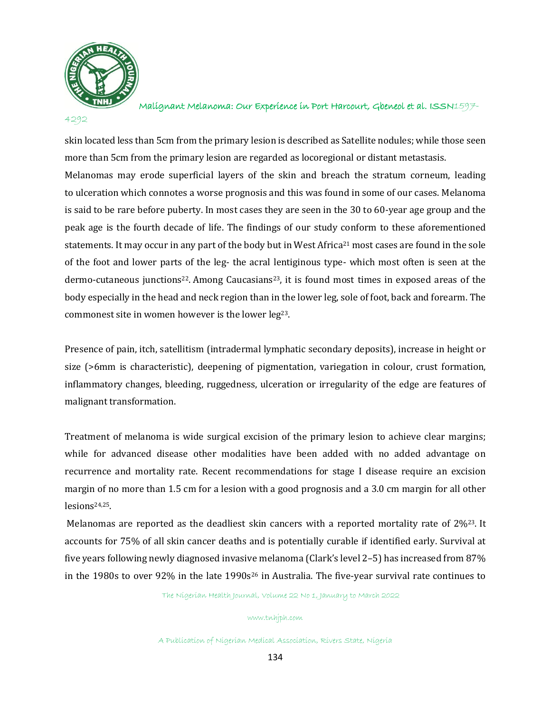

Malignant Melanoma: Our Experience in Port Harcourt, Gbeneol et al. ISSN1597-

skin located less than 5cm from the primary lesion is described as Satellite nodules; while those seen more than 5cm from the primary lesion are regarded as locoregional or distant metastasis. Melanomas may erode superficial layers of the skin and breach the stratum corneum, leading to ulceration which connotes a worse prognosis and this was found in some of our cases. Melanoma is said to be rare before puberty. In most cases they are seen in the 30 to 60-year age group and the peak age is the fourth decade of life. The findings of our study conform to these aforementioned statements. It may occur in any part of the body but in West Africa<sup>21</sup> most cases are found in the sole of the foot and lower parts of the leg- the acral lentiginous type- which most often is seen at the dermo-cutaneous junctions<sup>22</sup>. Among Caucasians<sup>23</sup>, it is found most times in exposed areas of the body especially in the head and neck region than in the lower leg, sole of foot, back and forearm. The commonest site in women however is the lower leg23.

Presence of pain, itch, satellitism (intradermal lymphatic secondary deposits), increase in height or size (>6mm is characteristic), deepening of pigmentation, variegation in colour, crust formation, inflammatory changes, bleeding, ruggedness, ulceration or irregularity of the edge are features of malignant transformation.

Treatment of melanoma is wide surgical excision of the primary lesion to achieve clear margins; while for advanced disease other modalities have been added with no added advantage on recurrence and mortality rate. Recent recommendations for stage I disease require an excision margin of no more than 1.5 cm for a lesion with a good prognosis and a 3.0 cm margin for all other lesions24,25.

Melanomas are reported as the deadliest skin cancers with a reported mortality rate of 2%<sup>23</sup>. It accounts for 75% of all skin cancer deaths and is potentially curable if identified early. Survival at five years following newly diagnosed invasive melanoma (Clark's level 2–5) has increased from 87% in the 1980s to over 92% in the late 1990s<sup>26</sup> in Australia. The five-year survival rate continues to

The Nigerian Health Journal, Volume 22 No 1, January to March 2022

#### www.tnhjph.com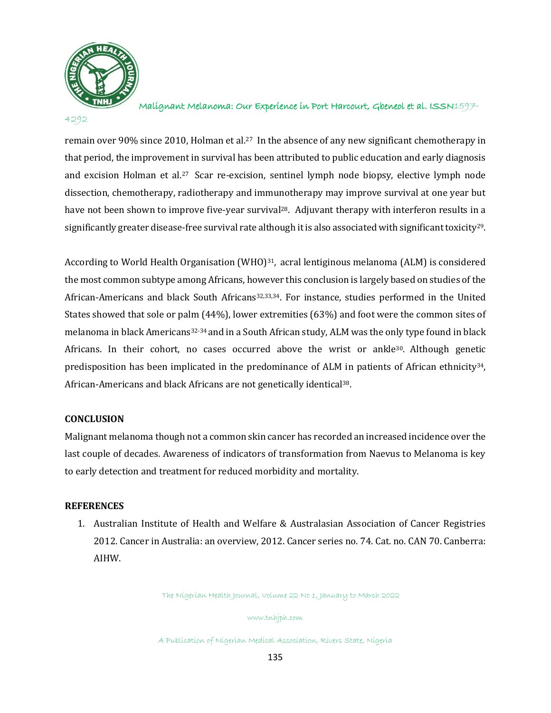

Malignant Melanoma: Our Experience in Port Harcourt, Gbeneol et al. ISSN1597-

remain over 90% since 2010, Holman et al.<sup>27</sup> In the absence of any new significant chemotherapy in that period, the improvement in survival has been attributed to public education and early diagnosis and excision Holman et al.<sup>27</sup> Scar re-excision, sentinel lymph node biopsy, elective lymph node dissection, chemotherapy, radiotherapy and immunotherapy may improve survival at one year but have not been shown to improve five-year survival<sup>28</sup>. Adjuvant therapy with interferon results in a significantly greater disease-free survival rate although it is also associated with significant toxicity<sup>29</sup>.

According to World Health Organisation (WHO)<sup>31</sup>, acral lentiginous melanoma (ALM) is considered the most common subtype among Africans, however this conclusion is largely based on studies of the African-Americans and black South Africans<sup>32,33,34</sup>. For instance, studies performed in the United States showed that sole or palm (44%), lower extremities (63%) and foot were the common sites of melanoma in black Americans32-34 and in a South African study, ALM was the only type found in black Africans. In their cohort, no cases occurred above the wrist or ankle30. Although genetic predisposition has been implicated in the predominance of ALM in patients of African ethnicity34, African-Americans and black Africans are not genetically identical38.

# **CONCLUSION**

Malignant melanoma though not a common skin cancer has recorded an increased incidence over the last couple of decades. Awareness of indicators of transformation from Naevus to Melanoma is key to early detection and treatment for reduced morbidity and mortality.

### **REFERENCES**

1. Australian Institute of Health and Welfare & Australasian Association of Cancer Registries 2012. Cancer in Australia: an overview, 2012. Cancer series no. 74. Cat. no. CAN 70. Canberra: AIHW.

The Nigerian Health Journal, Volume 22 No 1, January to March 2022

www.tnhjph.com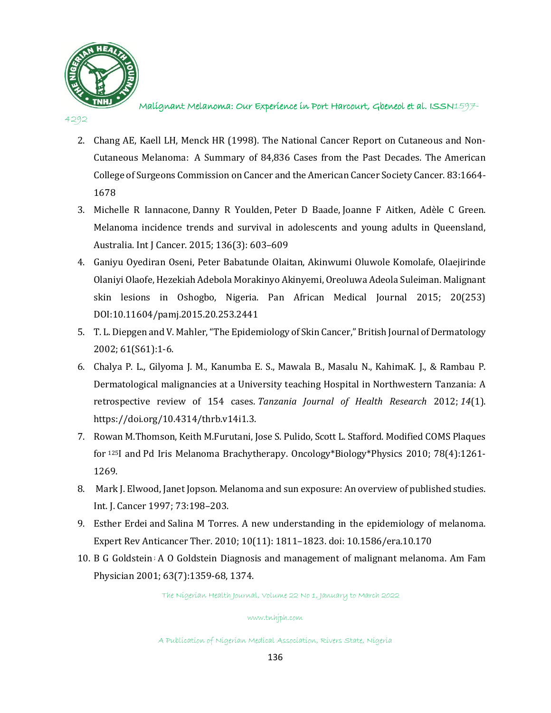

#### 4292

- 2. Chang AE, Kaell LH, Menck HR (1998). The National Cancer Report on Cutaneous and Non-Cutaneous Melanoma: A Summary of 84,836 Cases from the Past Decades. The American College of Surgeons Commission on Cancer and the American Cancer Society Cancer. 83:1664- 1678
- 3. [Michelle R Iannacone,](https://www.ncbi.nlm.nih.gov/pubmed/?term=Iannacone%20MR%5BAuthor%5D&cauthor=true&cauthor_uid=24806428) [Danny R Youlden,](https://www.ncbi.nlm.nih.gov/pubmed/?term=Youlden%20DR%5BAuthor%5D&cauthor=true&cauthor_uid=24806428) [Peter D Baade,](https://www.ncbi.nlm.nih.gov/pubmed/?term=Baade%20PD%5BAuthor%5D&cauthor=true&cauthor_uid=24806428) [Joanne F Aitken,](https://www.ncbi.nlm.nih.gov/pubmed/?term=Aitken%20JF%5BAuthor%5D&cauthor=true&cauthor_uid=24806428) [Adèle C Green.](https://www.ncbi.nlm.nih.gov/pubmed/?term=Green%20AC%5BAuthor%5D&cauthor=true&cauthor_uid=24806428) Melanoma incidence trends and survival in adolescents and young adults in Queensland, Australia. [Int J Cancer.](https://www.ncbi.nlm.nih.gov/pmc/articles/PMC4277328/) 2015; 136(3): 603–609
- 4. Ganiyu Oyediran Oseni, Peter Babatunde Olaitan, Akinwumi Oluwole Komolafe, Olaejirinde Olaniyi Olaofe, Hezekiah Adebola Morakinyo Akinyemi, Oreoluwa Adeola Suleiman. Malignant skin lesions in Oshogbo, Nigeria. Pan African Medical Journal 2015; 20(253) DOI:10.11604/pamj.2015.20.253.2441
- 5. T. L. Diepgen and V. Mahler, "The Epidemiology of Skin Cancer," British Journal of Dermatology 2002; 61(S61):1-6.
- 6. Chalya P. L., Gilyoma J. M., Kanumba E. S., Mawala B., Masalu N., KahimaK. J., & Rambau P. Dermatological malignancies at a University teaching Hospital in Northwestern Tanzania: A retrospective review of 154 cases. *Tanzania Journal of Health Research* 2012; *14*(1). [https://doi.org/10.4314/thrb.v14i1.3.](https://doi.org/10.4314/thrb.v14i1.3)
- 7. [Rowan M.Thomson, Keith M.Furutani,](https://www.sciencedirect.com/science/article/abs/pii/S0360301609036062#!) Jose S. [Pulido,](https://www.sciencedirect.com/science/article/abs/pii/S0360301609036062#!) Scott L. [Stafford.](https://www.sciencedirect.com/science/article/abs/pii/S0360301609036062#!) Modified COMS Plaques for <sup>125</sup>I and Pd Iris Melanoma Brachytherapy. [Oncology\\*Biology\\*Physics](https://www.sciencedirect.com/journal/international-journal-of-radiation-oncology-biology-physics) 2010; [78\(4\)](https://www.sciencedirect.com/journal/international-journal-of-radiation-oncology-biology-physics/vol/78/issue/4):1261- 1269.
- 8. Mark J. [Elwood,](https://onlinelibrary.wiley.com/action/doSearch?ContribAuthorRaw=Elwood%2C+J+Mark) Janet [Jopson.](https://onlinelibrary.wiley.com/action/doSearch?ContribAuthorRaw=Jopson%2C+Janet) Melanoma and sun exposure: An overview of published studies. Int. J. Cancer 1997; 73:198–203.
- 9. [Esther Erdei](https://www.ncbi.nlm.nih.gov/pubmed/?term=Erdei%20E%5BAuthor%5D&cauthor=true&cauthor_uid=21080806) and [Salina M Torres.](https://www.ncbi.nlm.nih.gov/pubmed/?term=Torres%20SM%5BAuthor%5D&cauthor=true&cauthor_uid=21080806) A new understanding in the epidemiology of melanoma. [Expert Rev Anticancer Ther. 2010; 10\(11\): 1811](https://www.ncbi.nlm.nih.gov/entrez/eutils/elink.fcgi?dbfrom=pubmed&retmode=ref&cmd=prlinks&id=21080806)–1823. doi: [10.1586/era.10.170](https://dx.doi.org/10.1586%2Fera.10.170)
- 10. [B G Goldstein](https://pubmed.ncbi.nlm.nih.gov/?term=Goldstein+BG&cauthor_id=11310650) ; [A O Goldstein](https://pubmed.ncbi.nlm.nih.gov/?term=Goldstein+AO&cauthor_id=11310650) Diagnosis and management of malignant melanoma. Am Fam Physician 2001; 63(7):1359-68, 1374.

The Nigerian Health Journal, Volume 22 No 1, January to March 2022

#### www.tnhjph.com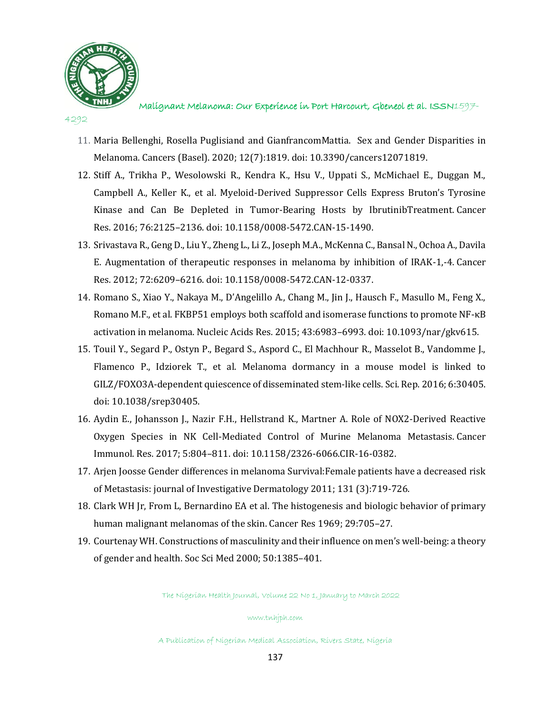

4292

- 11. Maria Bellenghi, Rosella Puglisiand and GianfrancomMattia. Sex and Gender Disparities in Melanoma. Cancers (Basel). 2020; 12(7):1819. doi: 10.3390/cancers12071819.
- 12. Stiff A., Trikha P., Wesolowski R., Kendra K., Hsu V., Uppati S., McMichael E., Duggan M., Campbell A., Keller K., et al. Myeloid-Derived Suppressor Cells Express Bruton's Tyrosine Kinase and Can Be Depleted in Tumor-Bearing Hosts by IbrutinibTreatment. Cancer Res. 2016; 76:2125–2136. doi: 10.1158/0008-5472.CAN-15-1490.
- 13. Srivastava R., Geng D., Liu Y., Zheng L., Li Z., Joseph M.A., McKenna C., Bansal N., Ochoa A., Davila E. Augmentation of therapeutic responses in melanoma by inhibition of IRAK-1,-4. Cancer Res. 2012; 72:6209–6216. doi: 10.1158/0008-5472.CAN-12-0337.
- 14. Romano S., Xiao Y., Nakaya M., D'Angelillo A., Chang M., Jin J., Hausch F., Masullo M., Feng X., Romano M.F., et al. FKBP51 employs both scaffold and isomerase functions to promote NF-κB activation in melanoma. Nucleic Acids Res. 2015; 43:6983–6993. doi: 10.1093/nar/gkv615.
- 15. Touil Y., Segard P., Ostyn P., Begard S., Aspord C., El Machhour R., Masselot B., Vandomme J., Flamenco P., Idziorek T., et al. Melanoma dormancy in a mouse model is linked to GILZ/FOXO3A-dependent quiescence of disseminated stem-like cells. Sci. Rep. 2016; 6:30405. doi: 10.1038/srep30405.
- 16. Aydin E., Johansson J., Nazir F.H., Hellstrand K., Martner A. Role of NOX2-Derived Reactive Oxygen Species in NK Cell-Mediated Control of Murine Melanoma Metastasis. Cancer Immunol. Res. 2017; 5:804–811. doi: 10.1158/2326-6066.CIR-16-0382.
- 17. Arjen Joosse Gender differences in melanoma Survival:Female patients have a decreased risk of Metastasis: journal of Investigative Dermatology 2011; 131 (3):719-726.
- 18. Clark WH Jr, From L, Bernardino EA et al. The histogenesis and biologic behavior of primary human malignant melanomas of the skin. Cancer Res 1969; 29:705–27.
- 19. Courtenay WH. Constructions of masculinity and their influence on men's well-being: a theory of gender and health. Soc Sci Med 2000; 50:1385–401.

The Nigerian Health Journal, Volume 22 No 1, January to March 2022

www.tnhjph.com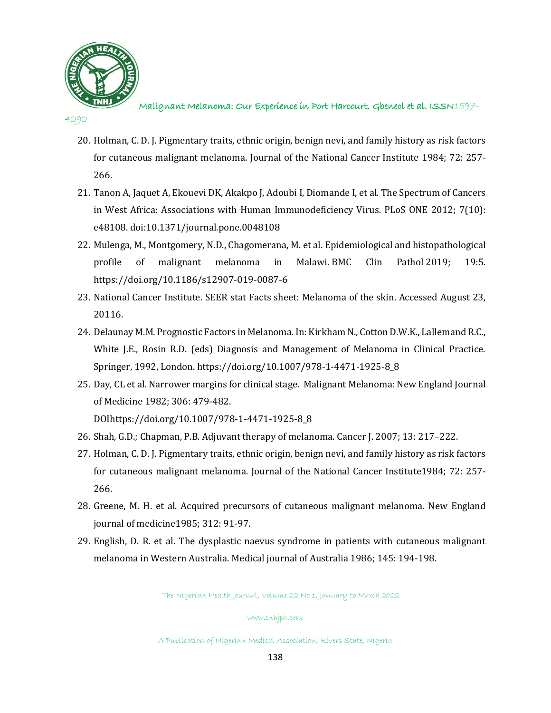

Malignant Melanoma: Our Experience in Port Harcourt, Gbeneol et al. ISSN1597-

- 20. Holman, C. D. J. Pigmentary traits, ethnic origin, benign nevi, and family history as risk factors for cutaneous malignant melanoma. Journal of the National Cancer Institute 1984; 72: 257- 266.
- 21. Tanon A, Jaquet A, Ekouevi DK, Akakpo J, Adoubi I, Diomande I, et al. The Spectrum of Cancers in West Africa: Associations with Human Immunodeficiency Virus. PLoS ONE 2012; 7(10): e48108. doi:10.1371/journal.pone.0048108
- 22. Mulenga, M., Montgomery, N.D., Chagomerana, M. et al. Epidemiological and histopathological profile of malignant melanoma in Malawi. BMC Clin Pathol 2019; 19:5. https://doi.org/10.1186/s12907-019-0087-6
- 23. National Cancer Institute. SEER stat Facts sheet: Melanoma of the skin. Accessed August 23, 20116.
- 24. Delaunay M.M. Prognostic Factors in Melanoma. In: Kirkham N., Cotton D.W.K., Lallemand R.C., White J.E., Rosin R.D. (eds) Diagnosis and Management of Melanoma in Clinical Practice. Springer, 1992, London. https://doi.org/10.1007/978-1-4471-1925-8\_8
- 25. Day, CL et al. Narrower margins for clinical stage. Malignant Melanoma: New England Journal of Medicine 1982; 306: 479-482.

DOIhttps://doi.org/10.1007/978-1-4471-1925-8\_8

- 26. Shah, G.D.; Chapman, P.B. Adjuvant therapy of melanoma. Cancer J. 2007; 13: 217–222.
- 27. Holman, C. D. J. Pigmentary traits, ethnic origin, benign nevi, and family history as risk factors for cutaneous malignant melanoma. Journal of the National Cancer Institute1984; 72: 257- 266.
- 28. Greene, M. H. et al. Acquired precursors of cutaneous malignant melanoma. New England journal of medicine1985; 312: 91-97.
- 29. English, D. R. et al. The dysplastic naevus syndrome in patients with cutaneous malignant melanoma in Western Australia. Medical journal of Australia 1986; 145: 194-198.

The Nigerian Health Journal, Volume 22 No 1, January to March 2022

www.tnhjph.com